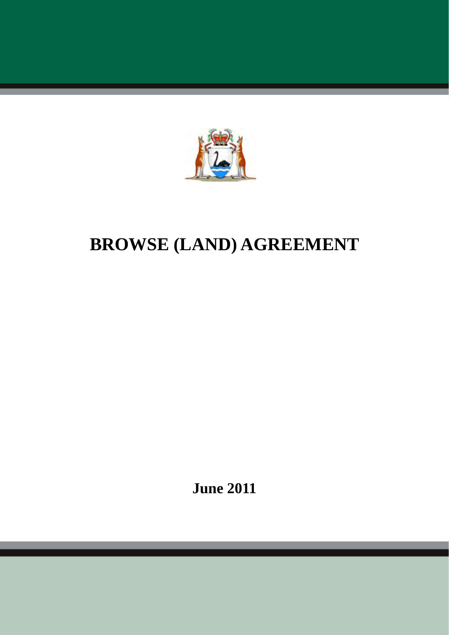

# **BROWSE (LAND) AGREEMENT**

**June 2011**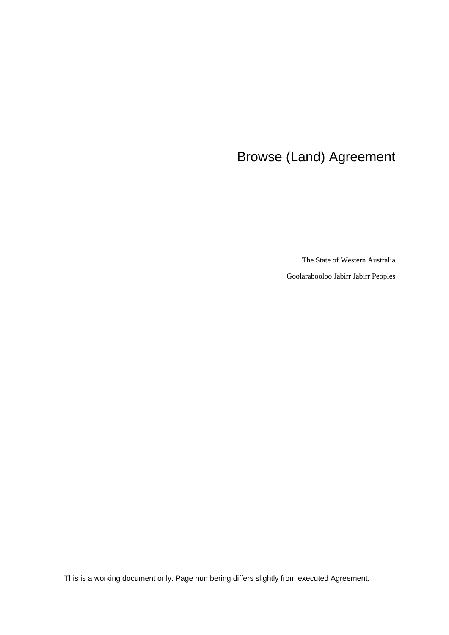## Browse (Land) Agreement

The State of Western Australia

Goolarabooloo Jabirr Jabirr Peoples

This is a working document only. Page numbering differs slightly from executed Agreement.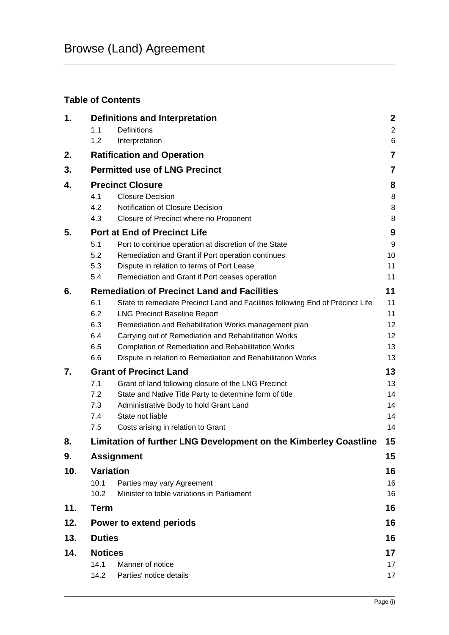## **Table of Contents**

| 1.  | <b>Definitions and Interpretation</b> |                                                                                                                       | $\boldsymbol{2}$ |  |
|-----|---------------------------------------|-----------------------------------------------------------------------------------------------------------------------|------------------|--|
|     | 1.1                                   | <b>Definitions</b>                                                                                                    | $\overline{2}$   |  |
|     | 1.2                                   | Interpretation                                                                                                        | $6\phantom{1}6$  |  |
| 2.  |                                       | <b>Ratification and Operation</b>                                                                                     | $\overline{7}$   |  |
| 3.  | <b>Permitted use of LNG Precinct</b>  |                                                                                                                       |                  |  |
| 4.  | <b>Precinct Closure</b>               |                                                                                                                       |                  |  |
|     | 4.1                                   | <b>Closure Decision</b>                                                                                               | 8                |  |
|     | 4.2                                   | Notification of Closure Decision                                                                                      | 8                |  |
|     | 4.3                                   | Closure of Precinct where no Proponent                                                                                | 8                |  |
| 5.  |                                       | <b>Port at End of Precinct Life</b>                                                                                   | 9                |  |
|     | 5.1                                   | Port to continue operation at discretion of the State                                                                 | 9                |  |
|     | 5.2                                   | Remediation and Grant if Port operation continues                                                                     | 10               |  |
|     | 5.3<br>5.4                            | Dispute in relation to terms of Port Lease                                                                            | 11<br>11         |  |
|     |                                       | Remediation and Grant if Port ceases operation                                                                        |                  |  |
| 6.  |                                       | <b>Remediation of Precinct Land and Facilities</b>                                                                    | 11               |  |
|     | 6.1<br>6.2                            | State to remediate Precinct Land and Facilities following End of Precinct Life<br><b>LNG Precinct Baseline Report</b> | 11<br>11         |  |
|     | 6.3                                   | Remediation and Rehabilitation Works management plan                                                                  | 12               |  |
|     | 6.4                                   | Carrying out of Remediation and Rehabilitation Works                                                                  | 12               |  |
|     | 6.5                                   | Completion of Remediation and Rehabilitation Works                                                                    | 13               |  |
|     | 6.6                                   | Dispute in relation to Remediation and Rehabilitation Works                                                           | 13               |  |
| 7.  | <b>Grant of Precinct Land</b>         |                                                                                                                       |                  |  |
|     | 7.1                                   | Grant of land following closure of the LNG Precinct                                                                   | 13               |  |
|     | 7.2                                   | State and Native Title Party to determine form of title                                                               | 14               |  |
|     | 7.3                                   | Administrative Body to hold Grant Land                                                                                | 14               |  |
|     | 7.4                                   | State not liable                                                                                                      | 14               |  |
|     | 7.5                                   | Costs arising in relation to Grant                                                                                    | 14               |  |
| 8.  |                                       | Limitation of further LNG Development on the Kimberley Coastline                                                      | 15               |  |
| 9.  |                                       | <b>Assignment</b>                                                                                                     | 15               |  |
| 10. | <b>Variation</b>                      |                                                                                                                       | 16               |  |
|     | 10.1                                  | Parties may vary Agreement                                                                                            | 16               |  |
|     | 10.2                                  | Minister to table variations in Parliament                                                                            | 16               |  |
| 11. | <b>Term</b>                           |                                                                                                                       | 16               |  |
| 12. |                                       | Power to extend periods                                                                                               |                  |  |
| 13. |                                       | <b>Duties</b><br>16                                                                                                   |                  |  |
| 14. | <b>Notices</b>                        |                                                                                                                       |                  |  |
|     | 14.1                                  | Manner of notice                                                                                                      | 17               |  |
|     | 14.2                                  | Parties' notice details                                                                                               | 17               |  |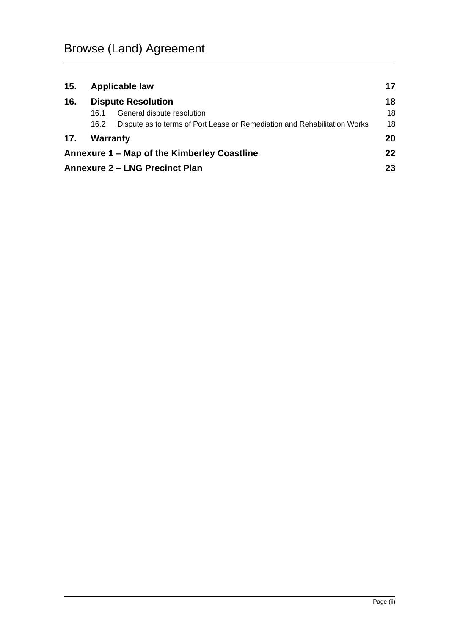| 15. | Applicable law            |                                                                           |    |
|-----|---------------------------|---------------------------------------------------------------------------|----|
| 16. | <b>Dispute Resolution</b> |                                                                           | 18 |
|     | 16.1                      | General dispute resolution                                                | 18 |
|     | 16.2                      | Dispute as to terms of Port Lease or Remediation and Rehabilitation Works | 18 |
| 17. | Warranty                  |                                                                           | 20 |
|     |                           | Annexure 1 – Map of the Kimberley Coastline                               | 22 |
|     |                           | <b>Annexure 2 - LNG Precinct Plan</b>                                     | 23 |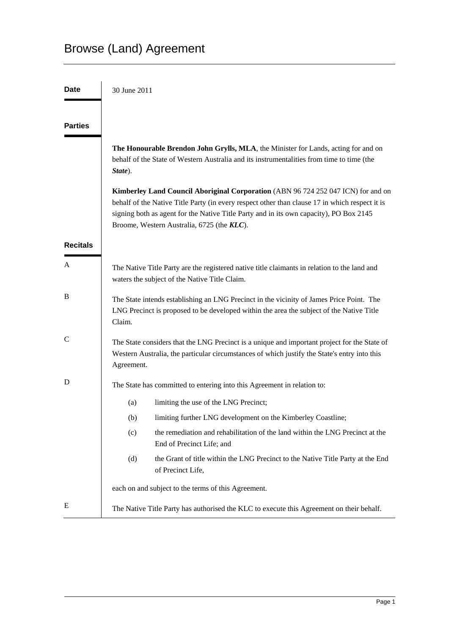## Browse (Land) Agreement

| <b>Date</b>     | 30 June 2011                                                                                                                                                                                                                                                                                                                |  |  |
|-----------------|-----------------------------------------------------------------------------------------------------------------------------------------------------------------------------------------------------------------------------------------------------------------------------------------------------------------------------|--|--|
| <b>Parties</b>  |                                                                                                                                                                                                                                                                                                                             |  |  |
|                 | The Honourable Brendon John Grylls, MLA, the Minister for Lands, acting for and on<br>behalf of the State of Western Australia and its instrumentalities from time to time (the<br>State).                                                                                                                                  |  |  |
|                 | Kimberley Land Council Aboriginal Corporation (ABN 96 724 252 047 ICN) for and on<br>behalf of the Native Title Party (in every respect other than clause 17 in which respect it is<br>signing both as agent for the Native Title Party and in its own capacity), PO Box 2145<br>Broome, Western Australia, 6725 (the KLC). |  |  |
| <b>Recitals</b> |                                                                                                                                                                                                                                                                                                                             |  |  |
| A               | The Native Title Party are the registered native title claimants in relation to the land and<br>waters the subject of the Native Title Claim.                                                                                                                                                                               |  |  |
| B               | The State intends establishing an LNG Precinct in the vicinity of James Price Point. The<br>LNG Precinct is proposed to be developed within the area the subject of the Native Title<br>Claim.                                                                                                                              |  |  |
| C               | The State considers that the LNG Precinct is a unique and important project for the State of<br>Western Australia, the particular circumstances of which justify the State's entry into this<br>Agreement.                                                                                                                  |  |  |
| D               | The State has committed to entering into this Agreement in relation to:                                                                                                                                                                                                                                                     |  |  |
|                 | limiting the use of the LNG Precinct;<br>(a)                                                                                                                                                                                                                                                                                |  |  |
|                 | limiting further LNG development on the Kimberley Coastline;<br>(b)                                                                                                                                                                                                                                                         |  |  |
|                 | the remediation and rehabilitation of the land within the LNG Precinct at the<br>(c)<br>End of Precinct Life; and                                                                                                                                                                                                           |  |  |
|                 | (d)<br>the Grant of title within the LNG Precinct to the Native Title Party at the End<br>of Precinct Life,                                                                                                                                                                                                                 |  |  |
|                 | each on and subject to the terms of this Agreement.                                                                                                                                                                                                                                                                         |  |  |
| E               | The Native Title Party has authorised the KLC to execute this Agreement on their behalf.                                                                                                                                                                                                                                    |  |  |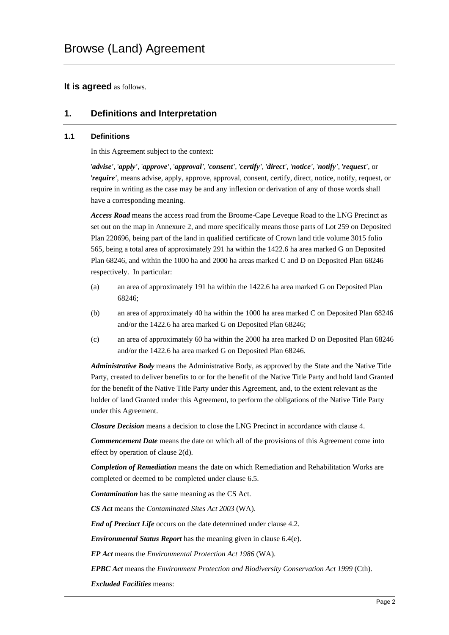#### **It is agreed** as follows.

## **1. Definitions and Interpretation**

#### **1.1 Definitions**

In this Agreement subject to the context:

'*advise'*, '*apply'*, '*approve'*, '*approval'*, '*consent'*, '*certify'*, '*direct'*, '*notice'*, '*notify'*, '*request'*, or '*require'*, means advise, apply, approve, approval, consent, certify, direct, notice, notify, request, or require in writing as the case may be and any inflexion or derivation of any of those words shall have a corresponding meaning.

*Access Road* means the access road from the Broome-Cape Leveque Road to the LNG Precinct as set out on the map in Annexure 2, and more specifically means those parts of Lot 259 on Deposited Plan 220696, being part of the land in qualified certificate of Crown land title volume 3015 folio 565, being a total area of approximately 291 ha within the 1422.6 ha area marked G on Deposited Plan 68246, and within the 1000 ha and 2000 ha areas marked C and D on Deposited Plan 68246 respectively. In particular:

- (a) an area of approximately 191 ha within the 1422.6 ha area marked G on Deposited Plan 68246;
- (b) an area of approximately 40 ha within the 1000 ha area marked C on Deposited Plan 68246 and/or the 1422.6 ha area marked G on Deposited Plan 68246;
- (c) an area of approximately 60 ha within the 2000 ha area marked D on Deposited Plan 68246 and/or the 1422.6 ha area marked G on Deposited Plan 68246.

*Administrative Body* means the Administrative Body, as approved by the State and the Native Title Party, created to deliver benefits to or for the benefit of the Native Title Party and hold land Granted for the benefit of the Native Title Party under this Agreement, and, to the extent relevant as the holder of land Granted under this Agreement, to perform the obligations of the Native Title Party under this Agreement.

*Closure Decision* means a decision to close the LNG Precinct in accordance with clause 4.

*Commencement Date* means the date on which all of the provisions of this Agreement come into effect by operation of clause 2(d).

*Completion of Remediation* means the date on which Remediation and Rehabilitation Works are completed or deemed to be completed under clause 6.5.

*Contamination* has the same meaning as the CS Act.

*CS Act* means the *Contaminated Sites Act 2003* (WA).

*End of Precinct Life* occurs on the date determined under clause 4.2.

*Environmental Status Report* has the meaning given in clause 6.4(e).

*EP Act* means the *Environmental Protection Act 1986* (WA).

*EPBC Act* means the *Environment Protection and Biodiversity Conservation Act 1999* (Cth).

*Excluded Facilities* means: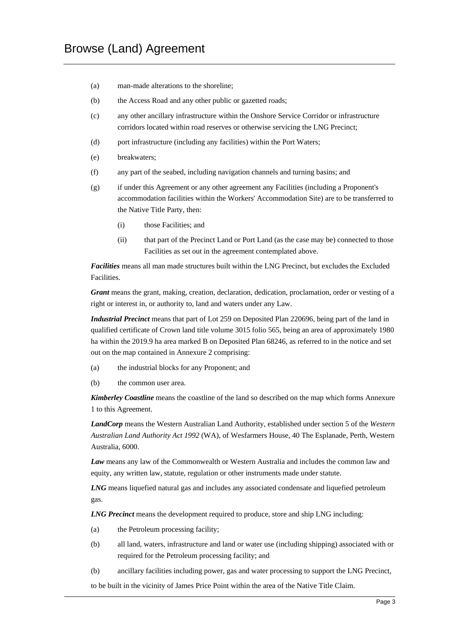- (a) man-made alterations to the shoreline;
- (b) the Access Road and any other public or gazetted roads;
- (c) any other ancillary infrastructure within the Onshore Service Corridor or infrastructure corridors located within road reserves or otherwise servicing the LNG Precinct;
- (d) port infrastructure (including any facilities) within the Port Waters;
- (e) breakwaters;
- (f) any part of the seabed, including navigation channels and turning basins; and
- (g) if under this Agreement or any other agreement any Facilities (including a Proponent's accommodation facilities within the Workers' Accommodation Site) are to be transferred to the Native Title Party, then:
	- (i) those Facilities; and
	- (ii) that part of the Precinct Land or Port Land (as the case may be) connected to those Facilities as set out in the agreement contemplated above.

*Facilities* means all man made structures built within the LNG Precinct, but excludes the Excluded Facilities.

*Grant* means the grant, making, creation, declaration, dedication, proclamation, order or vesting of a right or interest in, or authority to, land and waters under any Law.

*Industrial Precinct* means that part of Lot 259 on Deposited Plan 220696, being part of the land in qualified certificate of Crown land title volume 3015 folio 565, being an area of approximately 1980 ha within the 2019.9 ha area marked B on Deposited Plan 68246, as referred to in the notice and set out on the map contained in Annexure 2 comprising:

- (a) the industrial blocks for any Proponent; and
- (b) the common user area.

*Kimberley Coastline* means the coastline of the land so described on the map which forms Annexure 1 to this Agreement.

*LandCorp* means the Western Australian Land Authority, established under section 5 of the *Western Australian Land Authority Act 1992* (WA), of Wesfarmers House, 40 The Esplanade, Perth, Western Australia, 6000.

*Law* means any law of the Commonwealth or Western Australia and includes the common law and equity, any written law, statute, regulation or other instruments made under statute.

*LNG* means liquefied natural gas and includes any associated condensate and liquefied petroleum gas.

*LNG Precinct* means the development required to produce, store and ship LNG including:

- (a) the Petroleum processing facility;
- (b) all land, waters, infrastructure and land or water use (including shipping) associated with or required for the Petroleum processing facility; and
- (b) ancillary facilities including power, gas and water processing to support the LNG Precinct,

to be built in the vicinity of James Price Point within the area of the Native Title Claim.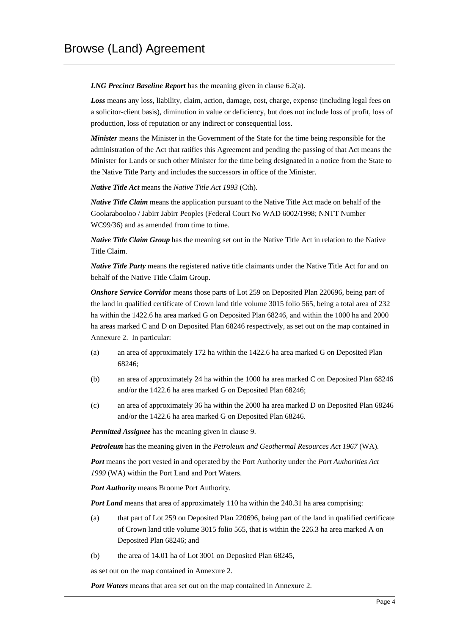*LNG Precinct Baseline Report* has the meaning given in clause 6.2(a).

*Loss* means any loss, liability, claim, action, damage, cost, charge, expense (including legal fees on a solicitor-client basis), diminution in value or deficiency, but does not include loss of profit, loss of production, loss of reputation or any indirect or consequential loss.

*Minister* means the Minister in the Government of the State for the time being responsible for the administration of the Act that ratifies this Agreement and pending the passing of that Act means the Minister for Lands or such other Minister for the time being designated in a notice from the State to the Native Title Party and includes the successors in office of the Minister.

*Native Title Act* means the *Native Title Act 1993* (Cth).

*Native Title Claim* means the application pursuant to the Native Title Act made on behalf of the Goolarabooloo / Jabirr Jabirr Peoples (Federal Court No WAD 6002/1998; NNTT Number WC99/36) and as amended from time to time.

*Native Title Claim Group* has the meaning set out in the Native Title Act in relation to the Native Title Claim.

*Native Title Party* means the registered native title claimants under the Native Title Act for and on behalf of the Native Title Claim Group.

*Onshore Service Corridor* means those parts of Lot 259 on Deposited Plan 220696, being part of the land in qualified certificate of Crown land title volume 3015 folio 565, being a total area of 232 ha within the 1422.6 ha area marked G on Deposited Plan 68246, and within the 1000 ha and 2000 ha areas marked C and D on Deposited Plan 68246 respectively, as set out on the map contained in Annexure 2. In particular:

- (a) an area of approximately 172 ha within the 1422.6 ha area marked G on Deposited Plan 68246;
- (b) an area of approximately 24 ha within the 1000 ha area marked C on Deposited Plan 68246 and/or the 1422.6 ha area marked G on Deposited Plan 68246;
- (c) an area of approximately 36 ha within the 2000 ha area marked D on Deposited Plan 68246 and/or the 1422.6 ha area marked G on Deposited Plan 68246.

*Permitted Assignee* has the meaning given in clause 9.

*Petroleum* has the meaning given in the *Petroleum and Geothermal Resources Act 1967* (WA).

*Port* means the port vested in and operated by the Port Authority under the *Port Authorities Act 1999* (WA) within the Port Land and Port Waters.

*Port Authority* means Broome Port Authority.

*Port Land* means that area of approximately 110 ha within the 240.31 ha area comprising:

- (a) that part of Lot 259 on Deposited Plan 220696, being part of the land in qualified certificate of Crown land title volume 3015 folio 565, that is within the 226.3 ha area marked A on Deposited Plan 68246; and
- (b) the area of 14.01 ha of Lot 3001 on Deposited Plan 68245,

as set out on the map contained in Annexure 2.

*Port Waters* means that area set out on the map contained in Annexure 2.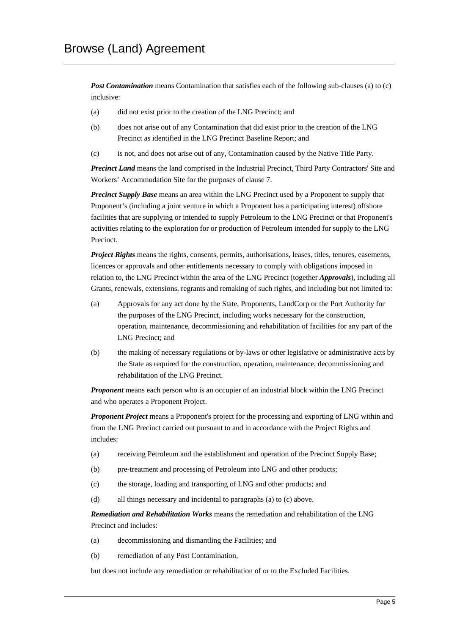*Post Contamination* means Contamination that satisfies each of the following sub-clauses (a) to (c) inclusive:

- (a) did not exist prior to the creation of the LNG Precinct; and
- (b) does not arise out of any Contamination that did exist prior to the creation of the LNG Precinct as identified in the LNG Precinct Baseline Report; and
- (c) is not, and does not arise out of any, Contamination caused by the Native Title Party.

*Precinct Land* means the land comprised in the Industrial Precinct, Third Party Contractors' Site and Workers' Accommodation Site for the purposes of clause 7.

*Precinct Supply Base* means an area within the LNG Precinct used by a Proponent to supply that Proponent's (including a joint venture in which a Proponent has a participating interest) offshore facilities that are supplying or intended to supply Petroleum to the LNG Precinct or that Proponent's activities relating to the exploration for or production of Petroleum intended for supply to the LNG Precinct.

*Project Rights* means the rights, consents, permits, authorisations, leases, titles, tenures, easements, licences or approvals and other entitlements necessary to comply with obligations imposed in relation to, the LNG Precinct within the area of the LNG Precinct (together *Approvals*), including all Grants, renewals, extensions, regrants and remaking of such rights, and including but not limited to:

- (a) Approvals for any act done by the State, Proponents, LandCorp or the Port Authority for the purposes of the LNG Precinct, including works necessary for the construction, operation, maintenance, decommissioning and rehabilitation of facilities for any part of the LNG Precinct; and
- (b) the making of necessary regulations or by-laws or other legislative or administrative acts by the State as required for the construction, operation, maintenance, decommissioning and rehabilitation of the LNG Precinct.

*Proponent* means each person who is an occupier of an industrial block within the LNG Precinct and who operates a Proponent Project.

*Proponent Project* means a Proponent's project for the processing and exporting of LNG within and from the LNG Precinct carried out pursuant to and in accordance with the Project Rights and includes:

- (a) receiving Petroleum and the establishment and operation of the Precinct Supply Base;
- (b) pre-treatment and processing of Petroleum into LNG and other products;
- (c) the storage, loading and transporting of LNG and other products; and
- (d) all things necessary and incidental to paragraphs (a) to (c) above.

*Remediation and Rehabilitation Works* means the remediation and rehabilitation of the LNG Precinct and includes:

- (a) decommissioning and dismantling the Facilities; and
- (b) remediation of any Post Contamination,

but does not include any remediation or rehabilitation of or to the Excluded Facilities.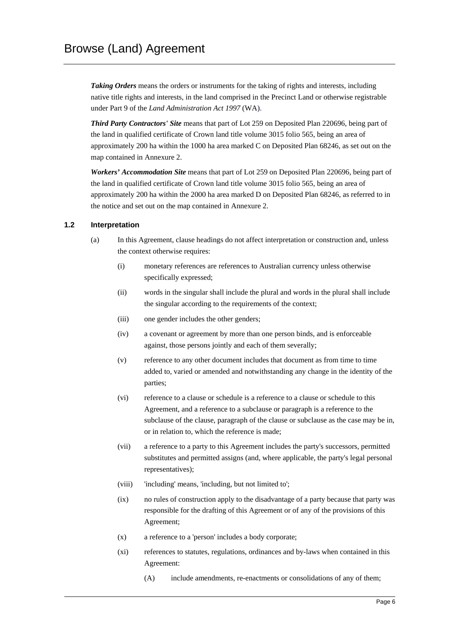*Taking Orders* means the orders or instruments for the taking of rights and interests, including native title rights and interests, in the land comprised in the Precinct Land or otherwise registrable under Part 9 of the *Land Administration Act 1997* (WA).

*Third Party Contractors' Site* means that part of Lot 259 on Deposited Plan 220696, being part of the land in qualified certificate of Crown land title volume 3015 folio 565, being an area of approximately 200 ha within the 1000 ha area marked C on Deposited Plan 68246, as set out on the map contained in Annexure 2.

*Workers' Accommodation Site* means that part of Lot 259 on Deposited Plan 220696, being part of the land in qualified certificate of Crown land title volume 3015 folio 565, being an area of approximately 200 ha within the 2000 ha area marked D on Deposited Plan 68246, as referred to in the notice and set out on the map contained in Annexure 2.

#### **1.2 Interpretation**

- (a) In this Agreement, clause headings do not affect interpretation or construction and, unless the context otherwise requires:
	- (i) monetary references are references to Australian currency unless otherwise specifically expressed;
	- (ii) words in the singular shall include the plural and words in the plural shall include the singular according to the requirements of the context;
	- (iii) one gender includes the other genders;
	- (iv) a covenant or agreement by more than one person binds, and is enforceable against, those persons jointly and each of them severally;
	- (v) reference to any other document includes that document as from time to time added to, varied or amended and notwithstanding any change in the identity of the parties;
	- (vi) reference to a clause or schedule is a reference to a clause or schedule to this Agreement, and a reference to a subclause or paragraph is a reference to the subclause of the clause, paragraph of the clause or subclause as the case may be in, or in relation to, which the reference is made;
	- (vii) a reference to a party to this Agreement includes the party's successors, permitted substitutes and permitted assigns (and, where applicable, the party's legal personal representatives);
	- (viii) 'including' means, 'including, but not limited to';
	- (ix) no rules of construction apply to the disadvantage of a party because that party was responsible for the drafting of this Agreement or of any of the provisions of this Agreement;
	- (x) a reference to a 'person' includes a body corporate;
	- (xi) references to statutes, regulations, ordinances and by-laws when contained in this Agreement:
		- (A) include amendments, re-enactments or consolidations of any of them;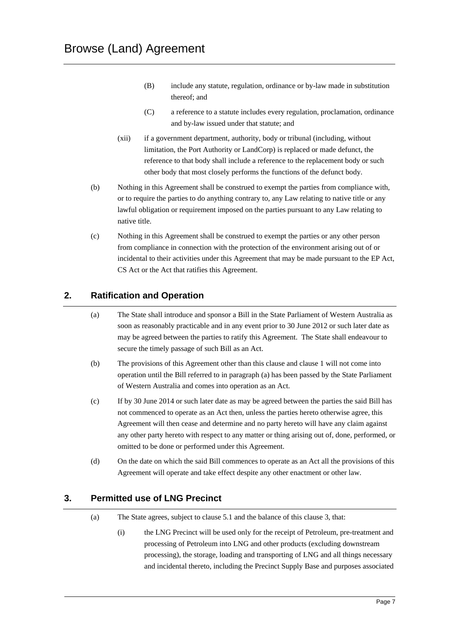- (B) include any statute, regulation, ordinance or by-law made in substitution thereof; and
- (C) a reference to a statute includes every regulation, proclamation, ordinance and by-law issued under that statute; and
- (xii) if a government department, authority, body or tribunal (including, without limitation, the Port Authority or LandCorp) is replaced or made defunct, the reference to that body shall include a reference to the replacement body or such other body that most closely performs the functions of the defunct body.
- (b) Nothing in this Agreement shall be construed to exempt the parties from compliance with, or to require the parties to do anything contrary to, any Law relating to native title or any lawful obligation or requirement imposed on the parties pursuant to any Law relating to native title.
- (c) Nothing in this Agreement shall be construed to exempt the parties or any other person from compliance in connection with the protection of the environment arising out of or incidental to their activities under this Agreement that may be made pursuant to the EP Act, CS Act or the Act that ratifies this Agreement.

## **2. Ratification and Operation**

- (a) The State shall introduce and sponsor a Bill in the State Parliament of Western Australia as soon as reasonably practicable and in any event prior to 30 June 2012 or such later date as may be agreed between the parties to ratify this Agreement. The State shall endeavour to secure the timely passage of such Bill as an Act.
- (b) The provisions of this Agreement other than this clause and clause 1 will not come into operation until the Bill referred to in paragraph (a) has been passed by the State Parliament of Western Australia and comes into operation as an Act.
- (c) If by 30 June 2014 or such later date as may be agreed between the parties the said Bill has not commenced to operate as an Act then, unless the parties hereto otherwise agree, this Agreement will then cease and determine and no party hereto will have any claim against any other party hereto with respect to any matter or thing arising out of, done, performed, or omitted to be done or performed under this Agreement.
- (d) On the date on which the said Bill commences to operate as an Act all the provisions of this Agreement will operate and take effect despite any other enactment or other law.

## **3. Permitted use of LNG Precinct**

- (a) The State agrees, subject to clause 5.1 and the balance of this clause 3, that:
	- (i) the LNG Precinct will be used only for the receipt of Petroleum, pre-treatment and processing of Petroleum into LNG and other products (excluding downstream processing), the storage, loading and transporting of LNG and all things necessary and incidental thereto, including the Precinct Supply Base and purposes associated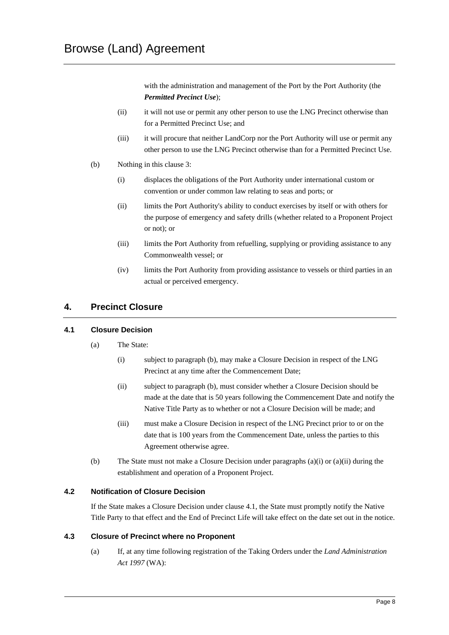with the administration and management of the Port by the Port Authority (the *Permitted Precinct Use*);

- (ii) it will not use or permit any other person to use the LNG Precinct otherwise than for a Permitted Precinct Use; and
- (iii) it will procure that neither LandCorp nor the Port Authority will use or permit any other person to use the LNG Precinct otherwise than for a Permitted Precinct Use.
- (b) Nothing in this clause 3:
	- (i) displaces the obligations of the Port Authority under international custom or convention or under common law relating to seas and ports; or
	- (ii) limits the Port Authority's ability to conduct exercises by itself or with others for the purpose of emergency and safety drills (whether related to a Proponent Project or not); or
	- (iii) limits the Port Authority from refuelling, supplying or providing assistance to any Commonwealth vessel; or
	- (iv) limits the Port Authority from providing assistance to vessels or third parties in an actual or perceived emergency.

## **4. Precinct Closure**

#### **4.1 Closure Decision**

- (a) The State:
	- (i) subject to paragraph (b), may make a Closure Decision in respect of the LNG Precinct at any time after the Commencement Date;
	- (ii) subject to paragraph (b), must consider whether a Closure Decision should be made at the date that is 50 years following the Commencement Date and notify the Native Title Party as to whether or not a Closure Decision will be made; and
	- (iii) must make a Closure Decision in respect of the LNG Precinct prior to or on the date that is 100 years from the Commencement Date, unless the parties to this Agreement otherwise agree.
- (b) The State must not make a Closure Decision under paragraphs (a)(i) or (a)(ii) during the establishment and operation of a Proponent Project.

#### **4.2 Notification of Closure Decision**

If the State makes a Closure Decision under clause 4.1, the State must promptly notify the Native Title Party to that effect and the End of Precinct Life will take effect on the date set out in the notice.

#### **4.3 Closure of Precinct where no Proponent**

(a) If, at any time following registration of the Taking Orders under the *Land Administration Act 1997* (WA):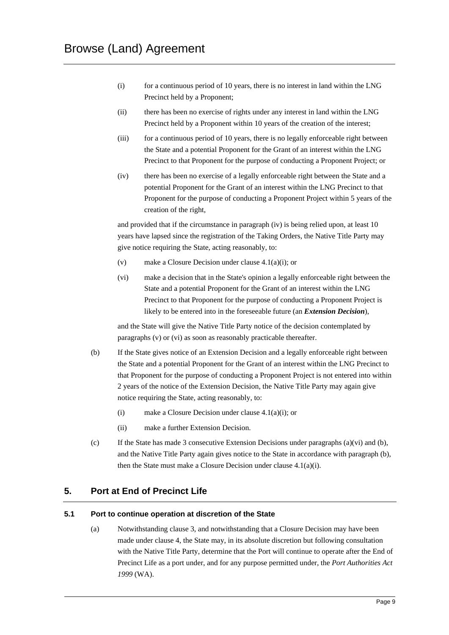- (i) for a continuous period of 10 years, there is no interest in land within the LNG Precinct held by a Proponent;
- (ii) there has been no exercise of rights under any interest in land within the LNG Precinct held by a Proponent within 10 years of the creation of the interest;
- (iii) for a continuous period of 10 years, there is no legally enforceable right between the State and a potential Proponent for the Grant of an interest within the LNG Precinct to that Proponent for the purpose of conducting a Proponent Project; or
- (iv) there has been no exercise of a legally enforceable right between the State and a potential Proponent for the Grant of an interest within the LNG Precinct to that Proponent for the purpose of conducting a Proponent Project within 5 years of the creation of the right,

and provided that if the circumstance in paragraph (iv) is being relied upon, at least 10 years have lapsed since the registration of the Taking Orders, the Native Title Party may give notice requiring the State, acting reasonably, to:

- (v) make a Closure Decision under clause 4.1(a)(i); or
- (vi) make a decision that in the State's opinion a legally enforceable right between the State and a potential Proponent for the Grant of an interest within the LNG Precinct to that Proponent for the purpose of conducting a Proponent Project is likely to be entered into in the foreseeable future (an *Extension Decision*),

and the State will give the Native Title Party notice of the decision contemplated by paragraphs (v) or (vi) as soon as reasonably practicable thereafter.

- (b) If the State gives notice of an Extension Decision and a legally enforceable right between the State and a potential Proponent for the Grant of an interest within the LNG Precinct to that Proponent for the purpose of conducting a Proponent Project is not entered into within 2 years of the notice of the Extension Decision, the Native Title Party may again give notice requiring the State, acting reasonably, to:
	- (i) make a Closure Decision under clause 4.1(a)(i); or
	- (ii) make a further Extension Decision.
- (c) If the State has made 3 consecutive Extension Decisions under paragraphs (a)(vi) and (b), and the Native Title Party again gives notice to the State in accordance with paragraph (b), then the State must make a Closure Decision under clause 4.1(a)(i).

## **5. Port at End of Precinct Life**

#### **5.1 Port to continue operation at discretion of the State**

(a) Notwithstanding clause 3, and notwithstanding that a Closure Decision may have been made under clause 4, the State may, in its absolute discretion but following consultation with the Native Title Party, determine that the Port will continue to operate after the End of Precinct Life as a port under, and for any purpose permitted under, the *Port Authorities Act 1999* (WA).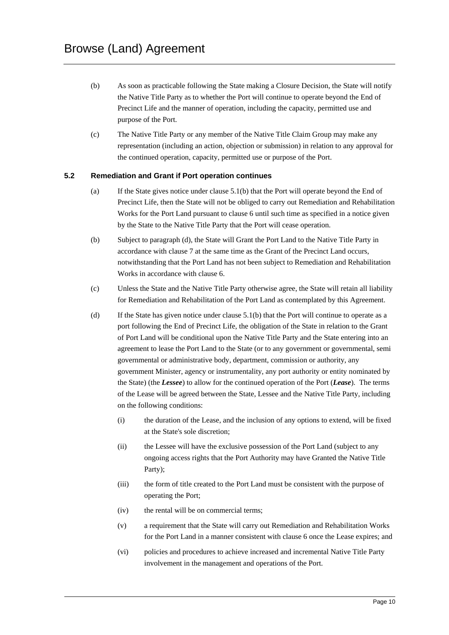- (b) As soon as practicable following the State making a Closure Decision, the State will notify the Native Title Party as to whether the Port will continue to operate beyond the End of Precinct Life and the manner of operation, including the capacity, permitted use and purpose of the Port.
- (c) The Native Title Party or any member of the Native Title Claim Group may make any representation (including an action, objection or submission) in relation to any approval for the continued operation, capacity, permitted use or purpose of the Port.

#### **5.2 Remediation and Grant if Port operation continues**

- (a) If the State gives notice under clause 5.1(b) that the Port will operate beyond the End of Precinct Life, then the State will not be obliged to carry out Remediation and Rehabilitation Works for the Port Land pursuant to clause 6 until such time as specified in a notice given by the State to the Native Title Party that the Port will cease operation.
- (b) Subject to paragraph (d), the State will Grant the Port Land to the Native Title Party in accordance with clause 7 at the same time as the Grant of the Precinct Land occurs, notwithstanding that the Port Land has not been subject to Remediation and Rehabilitation Works in accordance with clause 6.
- (c) Unless the State and the Native Title Party otherwise agree, the State will retain all liability for Remediation and Rehabilitation of the Port Land as contemplated by this Agreement.
- (d) If the State has given notice under clause 5.1(b) that the Port will continue to operate as a port following the End of Precinct Life, the obligation of the State in relation to the Grant of Port Land will be conditional upon the Native Title Party and the State entering into an agreement to lease the Port Land to the State (or to any government or governmental, semi governmental or administrative body, department, commission or authority, any government Minister, agency or instrumentality, any port authority or entity nominated by the State) (the *Lessee*) to allow for the continued operation of the Port (*Lease*). The terms of the Lease will be agreed between the State, Lessee and the Native Title Party, including on the following conditions:
	- (i) the duration of the Lease, and the inclusion of any options to extend, will be fixed at the State's sole discretion;
	- (ii) the Lessee will have the exclusive possession of the Port Land (subject to any ongoing access rights that the Port Authority may have Granted the Native Title Party);
	- (iii) the form of title created to the Port Land must be consistent with the purpose of operating the Port;
	- (iv) the rental will be on commercial terms;
	- (v) a requirement that the State will carry out Remediation and Rehabilitation Works for the Port Land in a manner consistent with clause 6 once the Lease expires; and
	- (vi) policies and procedures to achieve increased and incremental Native Title Party involvement in the management and operations of the Port.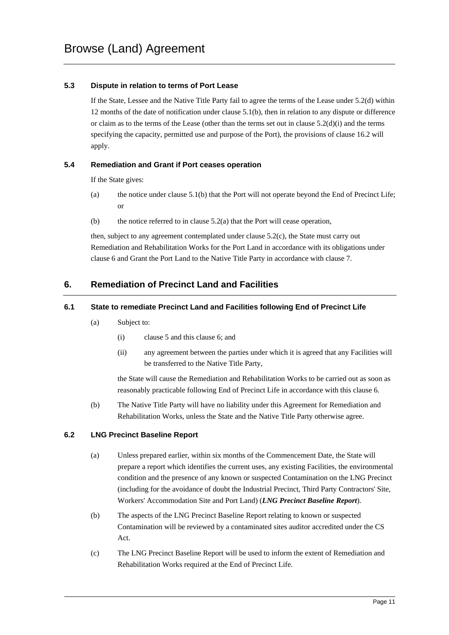#### **5.3 Dispute in relation to terms of Port Lease**

If the State, Lessee and the Native Title Party fail to agree the terms of the Lease under 5.2(d) within 12 months of the date of notification under clause 5.1(b), then in relation to any dispute or difference or claim as to the terms of the Lease (other than the terms set out in clause  $5.2(d)(i)$  and the terms specifying the capacity, permitted use and purpose of the Port), the provisions of clause 16.2 will apply.

#### **5.4 Remediation and Grant if Port ceases operation**

If the State gives:

- (a) the notice under clause  $5.1(b)$  that the Port will not operate beyond the End of Precinct Life; or
- (b) the notice referred to in clause  $5.2(a)$  that the Port will cease operation,

then, subject to any agreement contemplated under clause 5.2(c), the State must carry out Remediation and Rehabilitation Works for the Port Land in accordance with its obligations under clause 6 and Grant the Port Land to the Native Title Party in accordance with clause 7.

## **6. Remediation of Precinct Land and Facilities**

#### **6.1 State to remediate Precinct Land and Facilities following End of Precinct Life**

- (a) Subject to:
	- (i) clause 5 and this clause 6; and
	- (ii) any agreement between the parties under which it is agreed that any Facilities will be transferred to the Native Title Party,

the State will cause the Remediation and Rehabilitation Works to be carried out as soon as reasonably practicable following End of Precinct Life in accordance with this clause 6.

(b) The Native Title Party will have no liability under this Agreement for Remediation and Rehabilitation Works, unless the State and the Native Title Party otherwise agree.

#### **6.2 LNG Precinct Baseline Report**

- (a) Unless prepared earlier, within six months of the Commencement Date, the State will prepare a report which identifies the current uses, any existing Facilities, the environmental condition and the presence of any known or suspected Contamination on the LNG Precinct (including for the avoidance of doubt the Industrial Precinct, Third Party Contractors' Site, Workers' Accommodation Site and Port Land) (*LNG Precinct Baseline Report*).
- (b) The aspects of the LNG Precinct Baseline Report relating to known or suspected Contamination will be reviewed by a contaminated sites auditor accredited under the CS Act.
- (c) The LNG Precinct Baseline Report will be used to inform the extent of Remediation and Rehabilitation Works required at the End of Precinct Life.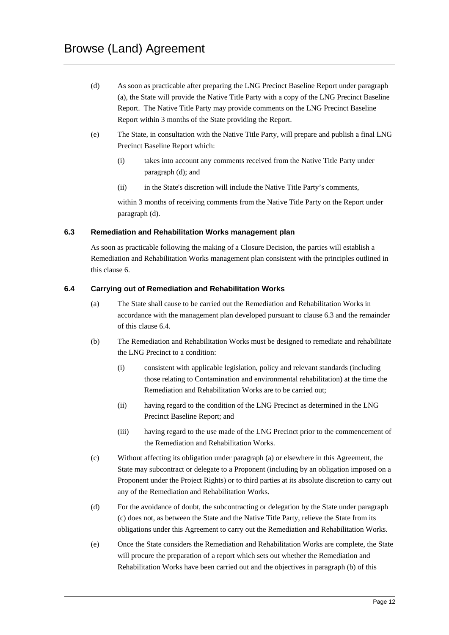- (d) As soon as practicable after preparing the LNG Precinct Baseline Report under paragraph (a), the State will provide the Native Title Party with a copy of the LNG Precinct Baseline Report. The Native Title Party may provide comments on the LNG Precinct Baseline Report within 3 months of the State providing the Report.
- (e) The State, in consultation with the Native Title Party, will prepare and publish a final LNG Precinct Baseline Report which:
	- (i) takes into account any comments received from the Native Title Party under paragraph (d); and
	- (ii) in the State's discretion will include the Native Title Party's comments,

within 3 months of receiving comments from the Native Title Party on the Report under paragraph (d).

#### **6.3 Remediation and Rehabilitation Works management plan**

As soon as practicable following the making of a Closure Decision, the parties will establish a Remediation and Rehabilitation Works management plan consistent with the principles outlined in this clause 6.

#### **6.4 Carrying out of Remediation and Rehabilitation Works**

- (a) The State shall cause to be carried out the Remediation and Rehabilitation Works in accordance with the management plan developed pursuant to clause 6.3 and the remainder of this clause 6.4.
- (b) The Remediation and Rehabilitation Works must be designed to remediate and rehabilitate the LNG Precinct to a condition:
	- (i) consistent with applicable legislation, policy and relevant standards (including those relating to Contamination and environmental rehabilitation) at the time the Remediation and Rehabilitation Works are to be carried out;
	- (ii) having regard to the condition of the LNG Precinct as determined in the LNG Precinct Baseline Report; and
	- (iii) having regard to the use made of the LNG Precinct prior to the commencement of the Remediation and Rehabilitation Works.
- (c) Without affecting its obligation under paragraph (a) or elsewhere in this Agreement, the State may subcontract or delegate to a Proponent (including by an obligation imposed on a Proponent under the Project Rights) or to third parties at its absolute discretion to carry out any of the Remediation and Rehabilitation Works.
- (d) For the avoidance of doubt, the subcontracting or delegation by the State under paragraph (c) does not, as between the State and the Native Title Party, relieve the State from its obligations under this Agreement to carry out the Remediation and Rehabilitation Works.
- (e) Once the State considers the Remediation and Rehabilitation Works are complete, the State will procure the preparation of a report which sets out whether the Remediation and Rehabilitation Works have been carried out and the objectives in paragraph (b) of this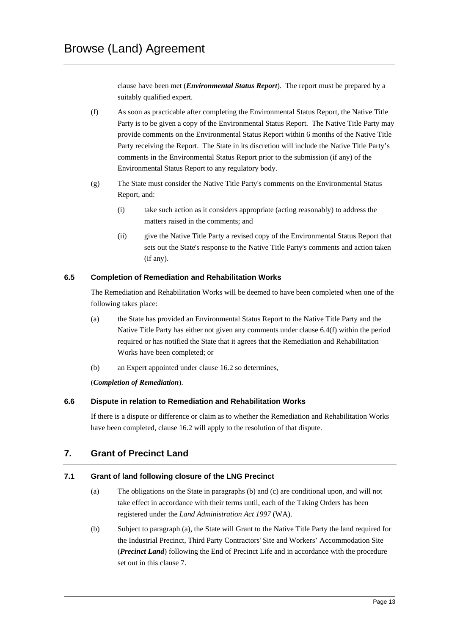clause have been met (*Environmental Status Report*). The report must be prepared by a suitably qualified expert.

- (f) As soon as practicable after completing the Environmental Status Report, the Native Title Party is to be given a copy of the Environmental Status Report. The Native Title Party may provide comments on the Environmental Status Report within 6 months of the Native Title Party receiving the Report. The State in its discretion will include the Native Title Party's comments in the Environmental Status Report prior to the submission (if any) of the Environmental Status Report to any regulatory body.
- (g) The State must consider the Native Title Party's comments on the Environmental Status Report, and:
	- (i) take such action as it considers appropriate (acting reasonably) to address the matters raised in the comments; and
	- (ii) give the Native Title Party a revised copy of the Environmental Status Report that sets out the State's response to the Native Title Party's comments and action taken (if any).

#### **6.5 Completion of Remediation and Rehabilitation Works**

The Remediation and Rehabilitation Works will be deemed to have been completed when one of the following takes place:

- (a) the State has provided an Environmental Status Report to the Native Title Party and the Native Title Party has either not given any comments under clause 6.4(f) within the period required or has notified the State that it agrees that the Remediation and Rehabilitation Works have been completed; or
- (b) an Expert appointed under clause 16.2 so determines,

#### (*Completion of Remediation*).

#### **6.6 Dispute in relation to Remediation and Rehabilitation Works**

If there is a dispute or difference or claim as to whether the Remediation and Rehabilitation Works have been completed, clause 16.2 will apply to the resolution of that dispute.

## **7. Grant of Precinct Land**

#### **7.1 Grant of land following closure of the LNG Precinct**

- (a) The obligations on the State in paragraphs (b) and (c) are conditional upon, and will not take effect in accordance with their terms until, each of the Taking Orders has been registered under the *Land Administration Act 1997* (WA).
- (b) Subject to paragraph (a), the State will Grant to the Native Title Party the land required for the Industrial Precinct, Third Party Contractors' Site and Workers' Accommodation Site (*Precinct Land*) following the End of Precinct Life and in accordance with the procedure set out in this clause 7.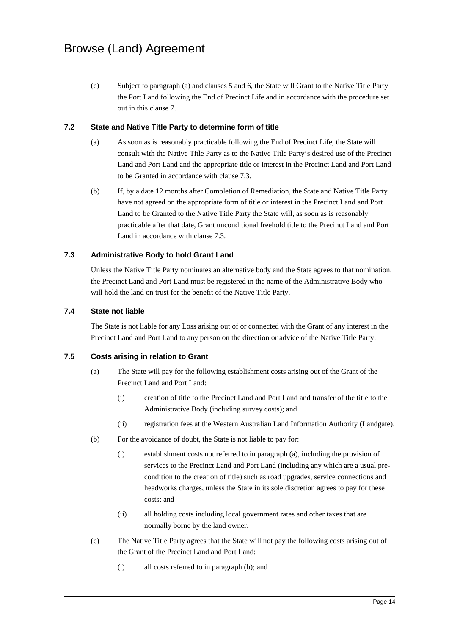(c) Subject to paragraph (a) and clauses 5 and 6, the State will Grant to the Native Title Party the Port Land following the End of Precinct Life and in accordance with the procedure set out in this clause 7.

#### **7.2 State and Native Title Party to determine form of title**

- (a) As soon as is reasonably practicable following the End of Precinct Life, the State will consult with the Native Title Party as to the Native Title Party's desired use of the Precinct Land and Port Land and the appropriate title or interest in the Precinct Land and Port Land to be Granted in accordance with clause 7.3.
- (b) If, by a date 12 months after Completion of Remediation, the State and Native Title Party have not agreed on the appropriate form of title or interest in the Precinct Land and Port Land to be Granted to the Native Title Party the State will, as soon as is reasonably practicable after that date, Grant unconditional freehold title to the Precinct Land and Port Land in accordance with clause 7.3.

#### **7.3 Administrative Body to hold Grant Land**

Unless the Native Title Party nominates an alternative body and the State agrees to that nomination, the Precinct Land and Port Land must be registered in the name of the Administrative Body who will hold the land on trust for the benefit of the Native Title Party.

#### **7.4 State not liable**

The State is not liable for any Loss arising out of or connected with the Grant of any interest in the Precinct Land and Port Land to any person on the direction or advice of the Native Title Party.

#### **7.5 Costs arising in relation to Grant**

- (a) The State will pay for the following establishment costs arising out of the Grant of the Precinct Land and Port Land:
	- (i) creation of title to the Precinct Land and Port Land and transfer of the title to the Administrative Body (including survey costs); and
	- (ii) registration fees at the Western Australian Land Information Authority (Landgate).
- (b) For the avoidance of doubt, the State is not liable to pay for:
	- (i) establishment costs not referred to in paragraph (a), including the provision of services to the Precinct Land and Port Land (including any which are a usual precondition to the creation of title) such as road upgrades, service connections and headworks charges, unless the State in its sole discretion agrees to pay for these costs; and
	- (ii) all holding costs including local government rates and other taxes that are normally borne by the land owner.
- (c) The Native Title Party agrees that the State will not pay the following costs arising out of the Grant of the Precinct Land and Port Land;
	- (i) all costs referred to in paragraph (b); and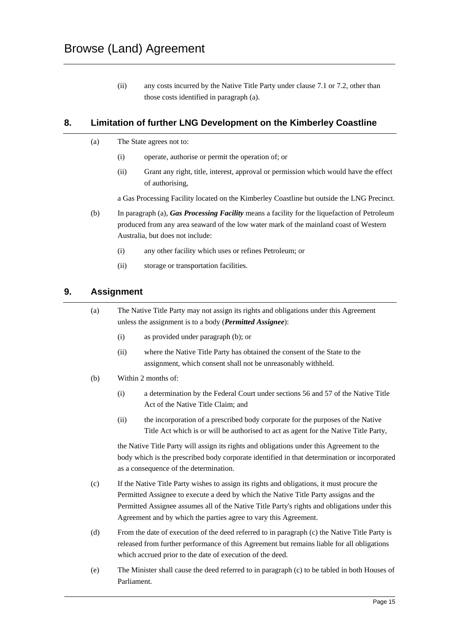(ii) any costs incurred by the Native Title Party under clause 7.1 or 7.2, other than those costs identified in paragraph (a).

## **8. Limitation of further LNG Development on the Kimberley Coastline**

- (a) The State agrees not to:
	- (i) operate, authorise or permit the operation of; or
	- (ii) Grant any right, title, interest, approval or permission which would have the effect of authorising,

a Gas Processing Facility located on the Kimberley Coastline but outside the LNG Precinct.

- (b) In paragraph (a), *Gas Processing Facility* means a facility for the liquefaction of Petroleum produced from any area seaward of the low water mark of the mainland coast of Western Australia, but does not include:
	- (i) any other facility which uses or refines Petroleum; or
	- (ii) storage or transportation facilities.

## **9. Assignment**

(a) The Native Title Party may not assign its rights and obligations under this Agreement unless the assignment is to a body (*Permitted Assignee*):

- (i) as provided under paragraph (b); or
- (ii) where the Native Title Party has obtained the consent of the State to the assignment, which consent shall not be unreasonably withheld.
- (b) Within 2 months of:
	- (i) a determination by the Federal Court under sections 56 and 57 of the Native Title Act of the Native Title Claim; and
	- (ii) the incorporation of a prescribed body corporate for the purposes of the Native Title Act which is or will be authorised to act as agent for the Native Title Party,

the Native Title Party will assign its rights and obligations under this Agreement to the body which is the prescribed body corporate identified in that determination or incorporated as a consequence of the determination.

- (c) If the Native Title Party wishes to assign its rights and obligations, it must procure the Permitted Assignee to execute a deed by which the Native Title Party assigns and the Permitted Assignee assumes all of the Native Title Party's rights and obligations under this Agreement and by which the parties agree to vary this Agreement.
- (d) From the date of execution of the deed referred to in paragraph (c) the Native Title Party is released from further performance of this Agreement but remains liable for all obligations which accrued prior to the date of execution of the deed.
- (e) The Minister shall cause the deed referred to in paragraph (c) to be tabled in both Houses of Parliament.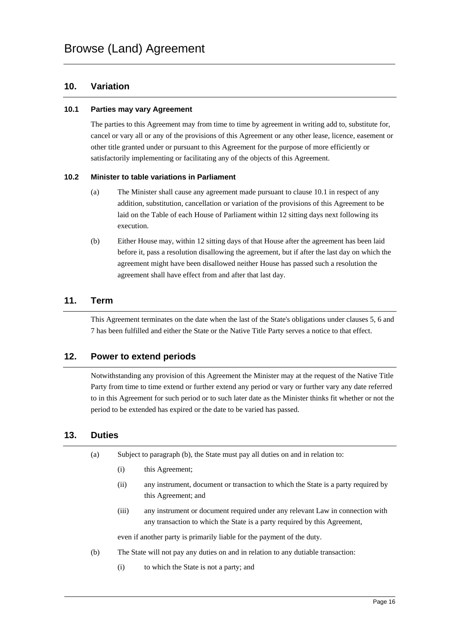## **10. Variation**

#### **10.1 Parties may vary Agreement**

The parties to this Agreement may from time to time by agreement in writing add to, substitute for, cancel or vary all or any of the provisions of this Agreement or any other lease, licence, easement or other title granted under or pursuant to this Agreement for the purpose of more efficiently or satisfactorily implementing or facilitating any of the objects of this Agreement.

#### **10.2 Minister to table variations in Parliament**

- (a) The Minister shall cause any agreement made pursuant to clause 10.1 in respect of any addition, substitution, cancellation or variation of the provisions of this Agreement to be laid on the Table of each House of Parliament within 12 sitting days next following its execution.
- (b) Either House may, within 12 sitting days of that House after the agreement has been laid before it, pass a resolution disallowing the agreement, but if after the last day on which the agreement might have been disallowed neither House has passed such a resolution the agreement shall have effect from and after that last day.

#### **11. Term**

This Agreement terminates on the date when the last of the State's obligations under clauses 5, 6 and 7 has been fulfilled and either the State or the Native Title Party serves a notice to that effect.

## **12. Power to extend periods**

Notwithstanding any provision of this Agreement the Minister may at the request of the Native Title Party from time to time extend or further extend any period or vary or further vary any date referred to in this Agreement for such period or to such later date as the Minister thinks fit whether or not the period to be extended has expired or the date to be varied has passed.

## **13. Duties**

| (a) | Subject to paragraph (b), the State must pay all duties on and in relation to: |                                                                                   |  |
|-----|--------------------------------------------------------------------------------|-----------------------------------------------------------------------------------|--|
|     | (i)                                                                            | this Agreement;                                                                   |  |
|     | (i)                                                                            | any instrument, document or transaction to which the State is a party required by |  |
|     |                                                                                | this Agreement; and                                                               |  |

(iii) any instrument or document required under any relevant Law in connection with any transaction to which the State is a party required by this Agreement,

even if another party is primarily liable for the payment of the duty.

- (b) The State will not pay any duties on and in relation to any dutiable transaction:
	- (i) to which the State is not a party; and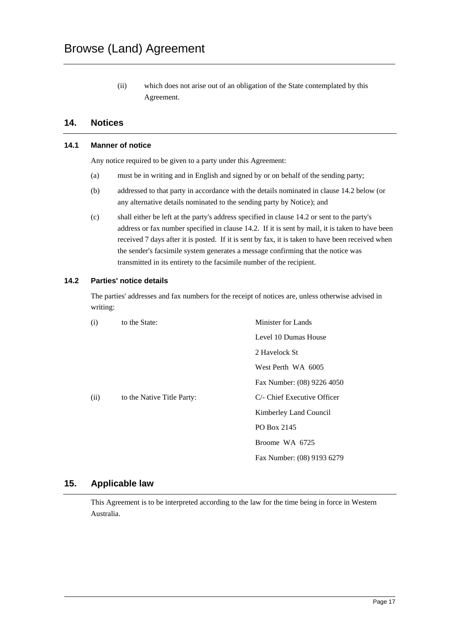(ii) which does not arise out of an obligation of the State contemplated by this Agreement.

## **14. Notices**

#### **14.1 Manner of notice**

Any notice required to be given to a party under this Agreement:

- (a) must be in writing and in English and signed by or on behalf of the sending party;
- (b) addressed to that party in accordance with the details nominated in clause 14.2 below (or any alternative details nominated to the sending party by Notice); and
- (c) shall either be left at the party's address specified in clause 14.2 or sent to the party's address or fax number specified in clause 14.2. If it is sent by mail, it is taken to have been received 7 days after it is posted. If it is sent by fax, it is taken to have been received when the sender's facsimile system generates a message confirming that the notice was transmitted in its entirety to the facsimile number of the recipient.

#### **14.2 Parties' notice details**

The parties' addresses and fax numbers for the receipt of notices are, unless otherwise advised in writing:

| (i)  | to the State:              | Minister for Lands          |
|------|----------------------------|-----------------------------|
|      |                            | Level 10 Dumas House        |
|      |                            | 2 Havelock St               |
|      |                            | West Perth WA 6005          |
|      |                            | Fax Number: (08) 9226 4050  |
| (ii) | to the Native Title Party: | C/- Chief Executive Officer |
|      |                            | Kimberley Land Council      |
|      |                            | PO Box 2145                 |
|      |                            | Broome WA 6725              |
|      |                            | Fax Number: (08) 9193 6279  |

## **15. Applicable law**

This Agreement is to be interpreted according to the law for the time being in force in Western Australia.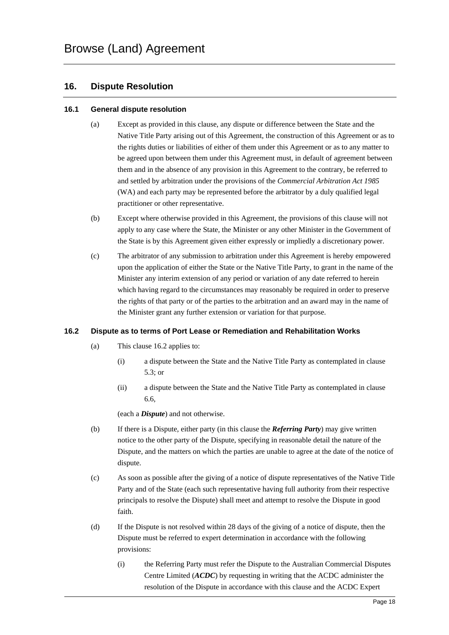## **16. Dispute Resolution**

#### **16.1 General dispute resolution**

- (a) Except as provided in this clause, any dispute or difference between the State and the Native Title Party arising out of this Agreement, the construction of this Agreement or as to the rights duties or liabilities of either of them under this Agreement or as to any matter to be agreed upon between them under this Agreement must, in default of agreement between them and in the absence of any provision in this Agreement to the contrary, be referred to and settled by arbitration under the provisions of the *Commercial Arbitration Act 1985* (WA) and each party may be represented before the arbitrator by a duly qualified legal practitioner or other representative.
- (b) Except where otherwise provided in this Agreement, the provisions of this clause will not apply to any case where the State, the Minister or any other Minister in the Government of the State is by this Agreement given either expressly or impliedly a discretionary power.
- (c) The arbitrator of any submission to arbitration under this Agreement is hereby empowered upon the application of either the State or the Native Title Party, to grant in the name of the Minister any interim extension of any period or variation of any date referred to herein which having regard to the circumstances may reasonably be required in order to preserve the rights of that party or of the parties to the arbitration and an award may in the name of the Minister grant any further extension or variation for that purpose.

#### **16.2 Dispute as to terms of Port Lease or Remediation and Rehabilitation Works**

- (a) This clause 16.2 applies to:
	- (i) a dispute between the State and the Native Title Party as contemplated in clause 5.3; or
	- (ii) a dispute between the State and the Native Title Party as contemplated in clause 6.6,

(each a *Dispute*) and not otherwise.

- (b) If there is a Dispute, either party (in this clause the *Referring Party*) may give written notice to the other party of the Dispute, specifying in reasonable detail the nature of the Dispute, and the matters on which the parties are unable to agree at the date of the notice of dispute.
- (c) As soon as possible after the giving of a notice of dispute representatives of the Native Title Party and of the State (each such representative having full authority from their respective principals to resolve the Dispute) shall meet and attempt to resolve the Dispute in good faith.
- (d) If the Dispute is not resolved within 28 days of the giving of a notice of dispute, then the Dispute must be referred to expert determination in accordance with the following provisions:
	- (i) the Referring Party must refer the Dispute to the Australian Commercial Disputes Centre Limited (*ACDC*) by requesting in writing that the ACDC administer the resolution of the Dispute in accordance with this clause and the ACDC Expert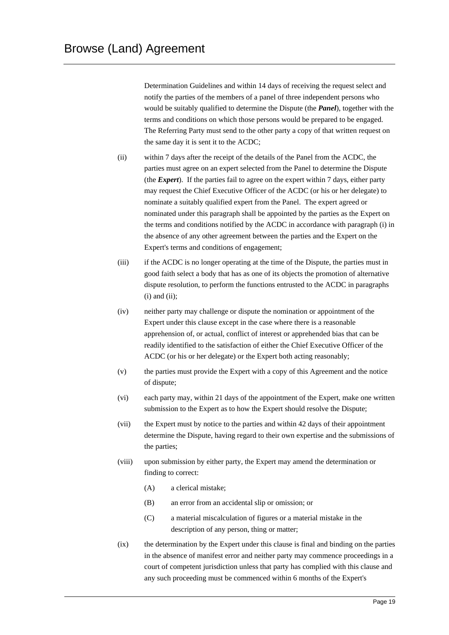Determination Guidelines and within 14 days of receiving the request select and notify the parties of the members of a panel of three independent persons who would be suitably qualified to determine the Dispute (the *Panel*), together with the terms and conditions on which those persons would be prepared to be engaged. The Referring Party must send to the other party a copy of that written request on the same day it is sent it to the ACDC;

- (ii) within 7 days after the receipt of the details of the Panel from the ACDC, the parties must agree on an expert selected from the Panel to determine the Dispute (the *Expert*). If the parties fail to agree on the expert within 7 days, either party may request the Chief Executive Officer of the ACDC (or his or her delegate) to nominate a suitably qualified expert from the Panel. The expert agreed or nominated under this paragraph shall be appointed by the parties as the Expert on the terms and conditions notified by the ACDC in accordance with paragraph (i) in the absence of any other agreement between the parties and the Expert on the Expert's terms and conditions of engagement;
- (iii) if the ACDC is no longer operating at the time of the Dispute, the parties must in good faith select a body that has as one of its objects the promotion of alternative dispute resolution, to perform the functions entrusted to the ACDC in paragraphs  $(i)$  and  $(ii)$ ;
- (iv) neither party may challenge or dispute the nomination or appointment of the Expert under this clause except in the case where there is a reasonable apprehension of, or actual, conflict of interest or apprehended bias that can be readily identified to the satisfaction of either the Chief Executive Officer of the ACDC (or his or her delegate) or the Expert both acting reasonably;
- (v) the parties must provide the Expert with a copy of this Agreement and the notice of dispute;
- (vi) each party may, within 21 days of the appointment of the Expert, make one written submission to the Expert as to how the Expert should resolve the Dispute;
- (vii) the Expert must by notice to the parties and within 42 days of their appointment determine the Dispute, having regard to their own expertise and the submissions of the parties;
- (viii) upon submission by either party, the Expert may amend the determination or finding to correct:
	- (A) a clerical mistake;
	- (B) an error from an accidental slip or omission; or
	- (C) a material miscalculation of figures or a material mistake in the description of any person, thing or matter;
- (ix) the determination by the Expert under this clause is final and binding on the parties in the absence of manifest error and neither party may commence proceedings in a court of competent jurisdiction unless that party has complied with this clause and any such proceeding must be commenced within 6 months of the Expert's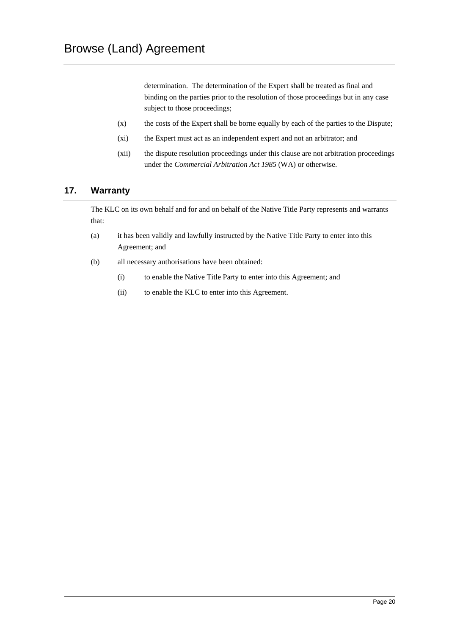determination. The determination of the Expert shall be treated as final and binding on the parties prior to the resolution of those proceedings but in any case subject to those proceedings;

- (x) the costs of the Expert shall be borne equally by each of the parties to the Dispute;
- (xi) the Expert must act as an independent expert and not an arbitrator; and
- (xii) the dispute resolution proceedings under this clause are not arbitration proceedings under the *Commercial Arbitration Act 1985* (WA) or otherwise.

## **17. Warranty**

The KLC on its own behalf and for and on behalf of the Native Title Party represents and warrants that:

- (a) it has been validly and lawfully instructed by the Native Title Party to enter into this Agreement; and
- (b) all necessary authorisations have been obtained:
	- (i) to enable the Native Title Party to enter into this Agreement; and
	- (ii) to enable the KLC to enter into this Agreement.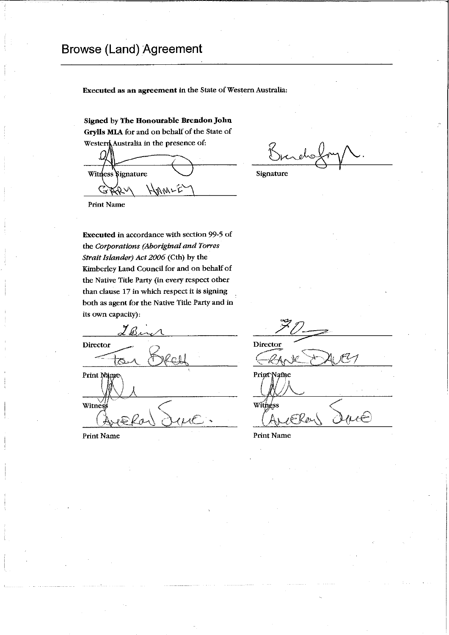## Browse (Land) Agreement

Executed as an agreement in the State of Western Australia:

Signed by The Honourable Brendon John Grylls MIA for and on behalf of the State of Australia in the presence of:

Witness Signature HAMLE  $\mathbb{G}$ 

Signature

**Print Name** 

Executed in accordance with section 99-5 of the *Corporations (Aboriginal and Torres Strait Islander) Act 2006* (Cth) by the Kimberley Land Council for and on behalf of the Native Title Party (in every respect other than clause 17 in which respect it is signing both as agent for the Native Title Party and in its own capacity):

Director  $\uparrow$   $\uparrow$ Print Name Witnes

Print Name

Director

Print Name Witness ERos

Print Name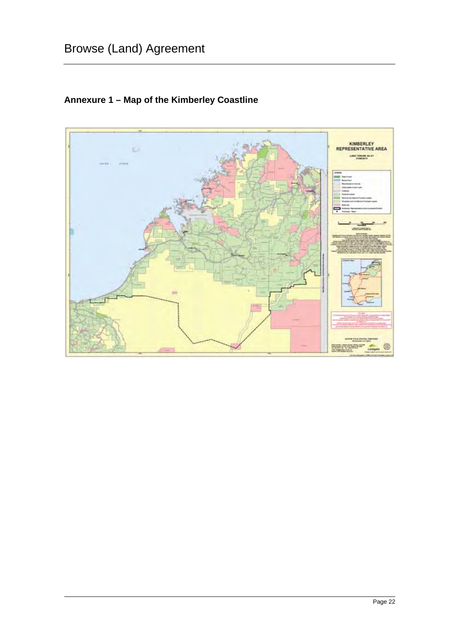

## **Annexure 1 – Map of the Kimberley Coastline**